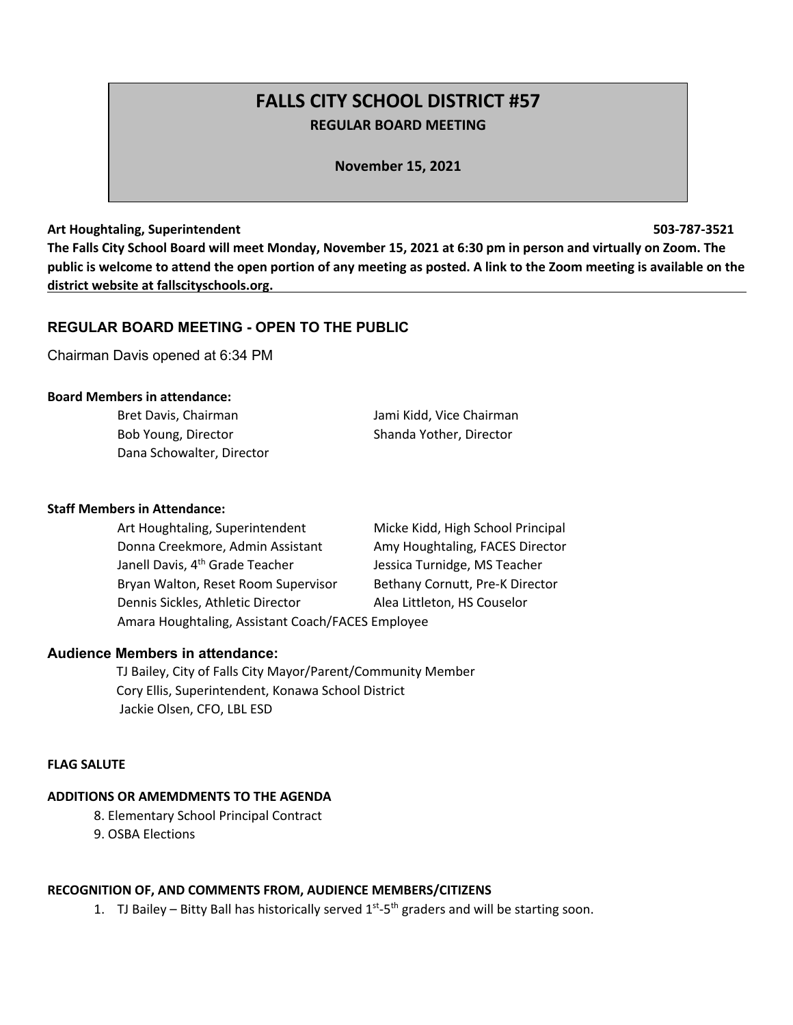# **FALLS CITY SCHOOL DISTRICT #57 REGULAR BOARD MEETING**

**November 15, 2021**

#### **Art Houghtaling, Superintendent 503-787-3521**

**The Falls City School Board will meet Monday, November 15, 2021 at 6:30 pm in person and virtually on Zoom. The public is welcome to attend the open portion of any meeting as posted. A link to the Zoom meeting is available on the district website at fallscityschools.org.**

# **REGULAR BOARD MEETING - OPEN TO THE PUBLIC**

Chairman Davis opened at 6:34 PM

### **Board Members in attendance:**

| Bret Davis, Chairman      | Jami Kidd, Vice Chairman |
|---------------------------|--------------------------|
| Bob Young, Director       | Shanda Yother, Director  |
| Dana Schowalter, Director |                          |

### **Staff Members in Attendance:**

| Art Houghtaling, Superintendent                   | Micke Kidd, High School Principal |
|---------------------------------------------------|-----------------------------------|
| Donna Creekmore, Admin Assistant                  | Amy Houghtaling, FACES Director   |
| Janell Davis, 4 <sup>th</sup> Grade Teacher       | Jessica Turnidge, MS Teacher      |
| Bryan Walton, Reset Room Supervisor               | Bethany Cornutt, Pre-K Director   |
| Dennis Sickles, Athletic Director                 | Alea Littleton, HS Couselor       |
| Amara Houghtaling, Assistant Coach/FACES Employee |                                   |

### **Audience Members in attendance:**

 TJ Bailey, City of Falls City Mayor/Parent/Community Member Cory Ellis, Superintendent, Konawa School District Jackie Olsen, CFO, LBL ESD

### **FLAG SALUTE**

### **ADDITIONS OR AMEMDMENTS TO THE AGENDA**

- 8. Elementary School Principal Contract
- 9. OSBA Elections

### **RECOGNITION OF, AND COMMENTS FROM, AUDIENCE MEMBERS/CITIZENS**

1. TJ Bailey – Bitty Ball has historically served  $1^{st}$ -5<sup>th</sup> graders and will be starting soon.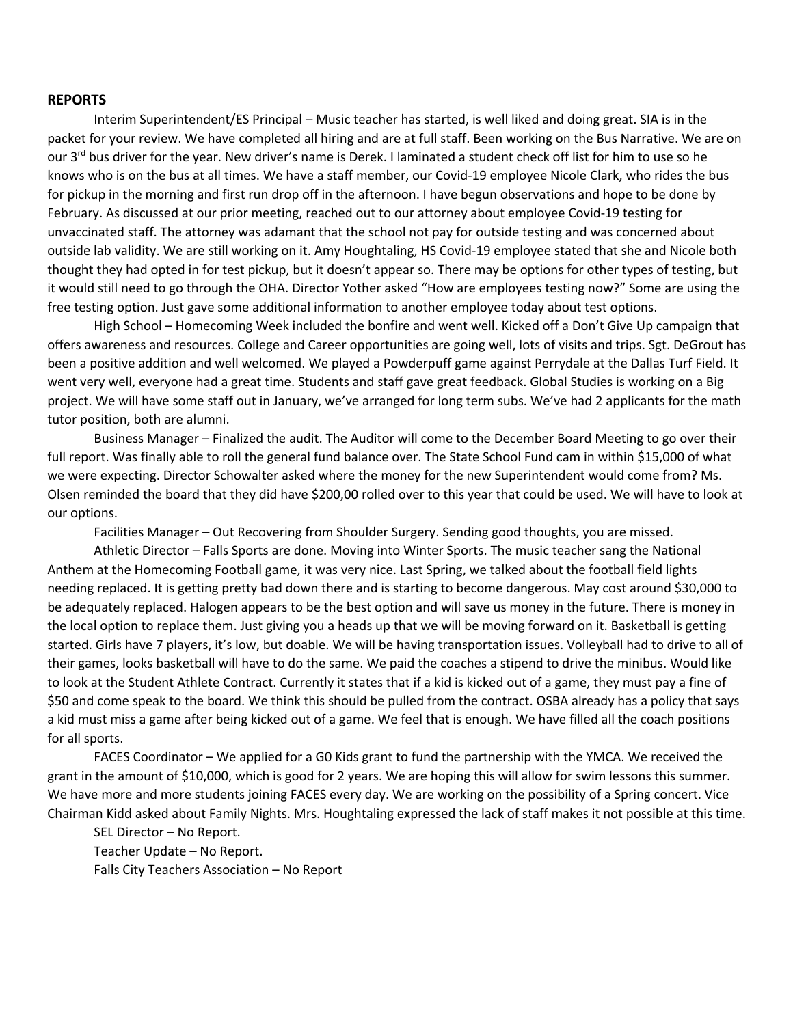### **REPORTS**

Interim Superintendent/ES Principal – Music teacher has started, is well liked and doing great. SIA is in the packet for your review. We have completed all hiring and are at full staff. Been working on the Bus Narrative. We are on our 3<sup>rd</sup> bus driver for the year. New driver's name is Derek. I laminated a student check off list for him to use so he knows who is on the bus at all times. We have a staff member, our Covid-19 employee Nicole Clark, who rides the bus for pickup in the morning and first run drop off in the afternoon. I have begun observations and hope to be done by February. As discussed at our prior meeting, reached out to our attorney about employee Covid-19 testing for unvaccinated staff. The attorney was adamant that the school not pay for outside testing and was concerned about outside lab validity. We are still working on it. Amy Houghtaling, HS Covid-19 employee stated that she and Nicole both thought they had opted in for test pickup, but it doesn't appear so. There may be options for other types of testing, but it would still need to go through the OHA. Director Yother asked "How are employees testing now?" Some are using the free testing option. Just gave some additional information to another employee today about test options.

High School – Homecoming Week included the bonfire and went well. Kicked off a Don't Give Up campaign that offers awareness and resources. College and Career opportunities are going well, lots of visits and trips. Sgt. DeGrout has been a positive addition and well welcomed. We played a Powderpuff game against Perrydale at the Dallas Turf Field. It went very well, everyone had a great time. Students and staff gave great feedback. Global Studies is working on a Big project. We will have some staff out in January, we've arranged for long term subs. We've had 2 applicants for the math tutor position, both are alumni.

Business Manager – Finalized the audit. The Auditor will come to the December Board Meeting to go over their full report. Was finally able to roll the general fund balance over. The State School Fund cam in within \$15,000 of what we were expecting. Director Schowalter asked where the money for the new Superintendent would come from? Ms. Olsen reminded the board that they did have \$200,00 rolled over to this year that could be used. We will have to look at our options.

Facilities Manager – Out Recovering from Shoulder Surgery. Sending good thoughts, you are missed.

Athletic Director – Falls Sports are done. Moving into Winter Sports. The music teacher sang the National Anthem at the Homecoming Football game, it was very nice. Last Spring, we talked about the football field lights needing replaced. It is getting pretty bad down there and is starting to become dangerous. May cost around \$30,000 to be adequately replaced. Halogen appears to be the best option and will save us money in the future. There is money in the local option to replace them. Just giving you a heads up that we will be moving forward on it. Basketball is getting started. Girls have 7 players, it's low, but doable. We will be having transportation issues. Volleyball had to drive to all of their games, looks basketball will have to do the same. We paid the coaches a stipend to drive the minibus. Would like to look at the Student Athlete Contract. Currently it states that if a kid is kicked out of a game, they must pay a fine of \$50 and come speak to the board. We think this should be pulled from the contract. OSBA already has a policy that says a kid must miss a game after being kicked out of a game. We feel that is enough. We have filled all the coach positions for all sports.

FACES Coordinator – We applied for a G0 Kids grant to fund the partnership with the YMCA. We received the grant in the amount of \$10,000, which is good for 2 years. We are hoping this will allow for swim lessons this summer. We have more and more students joining FACES every day. We are working on the possibility of a Spring concert. Vice Chairman Kidd asked about Family Nights. Mrs. Houghtaling expressed the lack of staff makes it not possible at this time.

SEL Director – No Report. Teacher Update – No Report. Falls City Teachers Association – No Report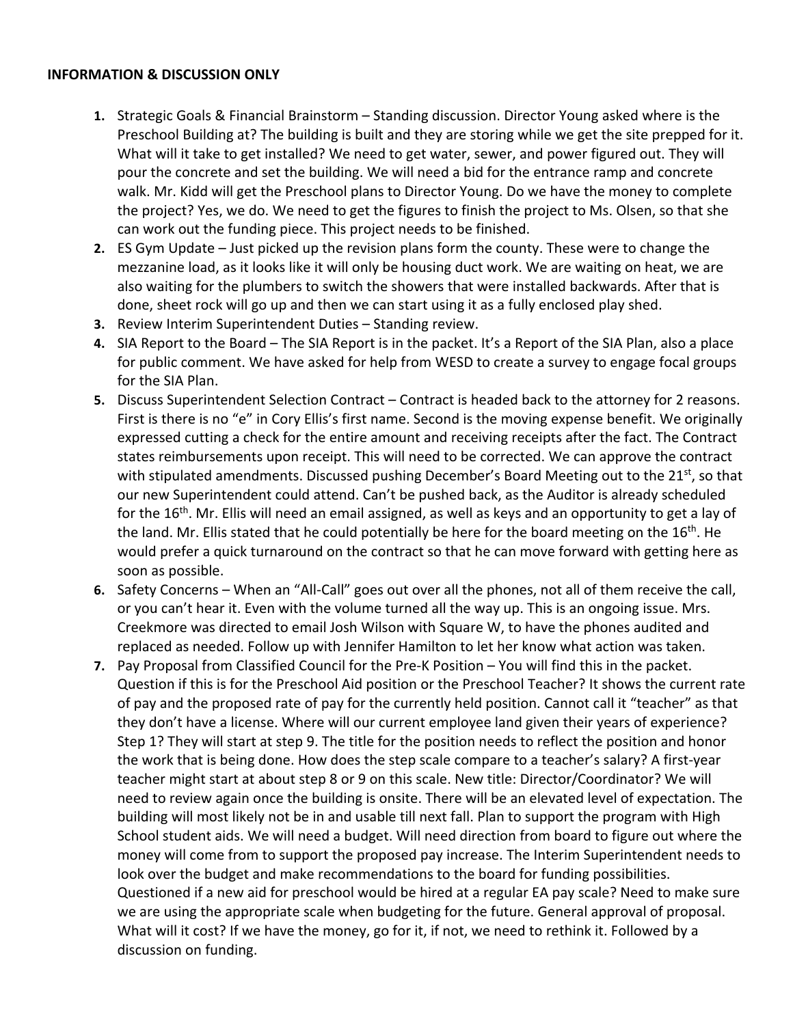# **INFORMATION & DISCUSSION ONLY**

- **1.** Strategic Goals & Financial Brainstorm Standing discussion. Director Young asked where is the Preschool Building at? The building is built and they are storing while we get the site prepped for it. What will it take to get installed? We need to get water, sewer, and power figured out. They will pour the concrete and set the building. We will need a bid for the entrance ramp and concrete walk. Mr. Kidd will get the Preschool plans to Director Young. Do we have the money to complete the project? Yes, we do. We need to get the figures to finish the project to Ms. Olsen, so that she can work out the funding piece. This project needs to be finished.
- **2.** ES Gym Update Just picked up the revision plans form the county. These were to change the mezzanine load, as it looks like it will only be housing duct work. We are waiting on heat, we are also waiting for the plumbers to switch the showers that were installed backwards. After that is done, sheet rock will go up and then we can start using it as a fully enclosed play shed.
- **3.** Review Interim Superintendent Duties Standing review.
- **4.** SIA Report to the Board The SIA Report is in the packet. It's a Report of the SIA Plan, also a place for public comment. We have asked for help from WESD to create a survey to engage focal groups for the SIA Plan.
- **5.** Discuss Superintendent Selection Contract Contract is headed back to the attorney for 2 reasons. First is there is no "e" in Cory Ellis's first name. Second is the moving expense benefit. We originally expressed cutting a check for the entire amount and receiving receipts after the fact. The Contract states reimbursements upon receipt. This will need to be corrected. We can approve the contract with stipulated amendments. Discussed pushing December's Board Meeting out to the 21st, so that our new Superintendent could attend. Can't be pushed back, as the Auditor is already scheduled for the 16<sup>th</sup>. Mr. Ellis will need an email assigned, as well as keys and an opportunity to get a lay of the land. Mr. Ellis stated that he could potentially be here for the board meeting on the 16<sup>th</sup>. He would prefer a quick turnaround on the contract so that he can move forward with getting here as soon as possible.
- **6.** Safety Concerns When an "All-Call" goes out over all the phones, not all of them receive the call, or you can't hear it. Even with the volume turned all the way up. This is an ongoing issue. Mrs. Creekmore was directed to email Josh Wilson with Square W, to have the phones audited and replaced as needed. Follow up with Jennifer Hamilton to let her know what action was taken.
- **7.** Pay Proposal from Classified Council for the Pre-K Position You will find this in the packet. Question if this is for the Preschool Aid position or the Preschool Teacher? It shows the current rate of pay and the proposed rate of pay for the currently held position. Cannot call it "teacher" as that they don't have a license. Where will our current employee land given their years of experience? Step 1? They will start at step 9. The title for the position needs to reflect the position and honor the work that is being done. How does the step scale compare to a teacher's salary? A first-year teacher might start at about step 8 or 9 on this scale. New title: Director/Coordinator? We will need to review again once the building is onsite. There will be an elevated level of expectation. The building will most likely not be in and usable till next fall. Plan to support the program with High School student aids. We will need a budget. Will need direction from board to figure out where the money will come from to support the proposed pay increase. The Interim Superintendent needs to look over the budget and make recommendations to the board for funding possibilities. Questioned if a new aid for preschool would be hired at a regular EA pay scale? Need to make sure we are using the appropriate scale when budgeting for the future. General approval of proposal. What will it cost? If we have the money, go for it, if not, we need to rethink it. Followed by a discussion on funding.